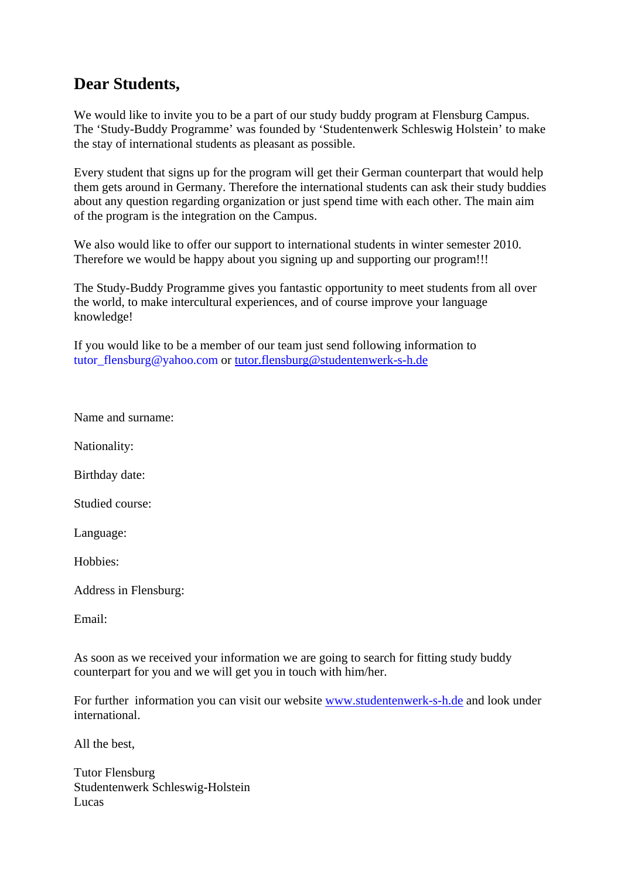## **Dear Students,**

We would like to invite you to be a part of our study buddy program at Flensburg Campus. The 'Study-Buddy Programme' was founded by 'Studentenwerk Schleswig Holstein' to make the stay of international students as pleasant as possible.

Every student that signs up for the program will get their German counterpart that would help them gets around in Germany. Therefore the international students can ask their study buddies about any question regarding organization or just spend time with each other. The main aim of the program is the integration on the Campus.

We also would like to offer our support to international students in winter semester 2010. Therefore we would be happy about you signing up and supporting our program!!!

The Study-Buddy Programme gives you fantastic opportunity to meet students from all over the world, to make intercultural experiences, and of course improve your language knowledge!

If you would like to be a member of our team just send following information to tutor\_flensburg@yahoo.com or tutor.flensburg@studentenwerk-s-h.de

Name and surname:

Nationality:

Birthday date:

Studied course:

Language:

Hobbies:

Address in Flensburg:

Email:

As soon as we received your information we are going to search for fitting study buddy counterpart for you and we will get you in touch with him/her.

For further information you can visit our website www.studentenwerk-s-h.de and look under international.

All the best,

Tutor Flensburg Studentenwerk Schleswig-Holstein Lucas